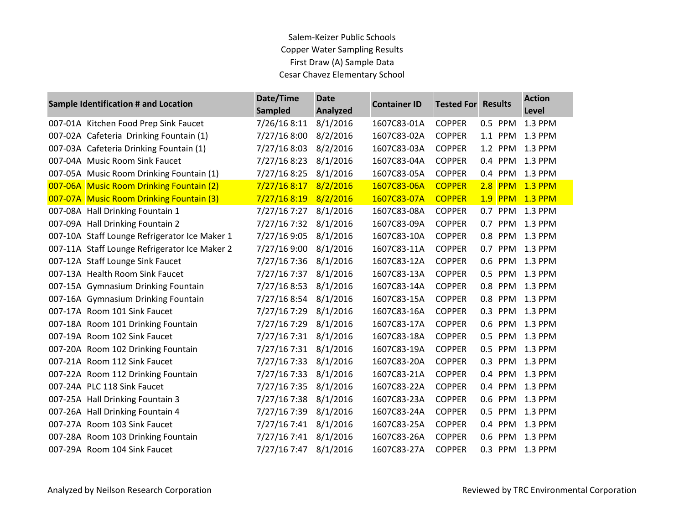| <b>Sample Identification # and Location</b>   | Date/Time<br><b>Sampled</b> | <b>Date</b><br><b>Analyzed</b> | <b>Container ID</b> | <b>Tested For</b> | <b>Results</b>    | <b>Action</b><br>Level |
|-----------------------------------------------|-----------------------------|--------------------------------|---------------------|-------------------|-------------------|------------------------|
| 007-01A Kitchen Food Prep Sink Faucet         | 7/26/16 8:11                | 8/1/2016                       | 1607C83-01A         | <b>COPPER</b>     | 0.5 PPM           | 1.3 PPM                |
| 007-02A Cafeteria Drinking Fountain (1)       | 7/27/16 8:00                | 8/2/2016                       | 1607C83-02A         | <b>COPPER</b>     | 1.1 PPM           | 1.3 PPM                |
| 007-03A Cafeteria Drinking Fountain (1)       | 7/27/16 8:03                | 8/2/2016                       | 1607C83-03A         | <b>COPPER</b>     | 1.2<br><b>PPM</b> | 1.3 PPM                |
| 007-04A Music Room Sink Faucet                | 7/27/16 8:23                | 8/1/2016                       | 1607C83-04A         | <b>COPPER</b>     | 0.4 PPM           | 1.3 PPM                |
| 007-05A Music Room Drinking Fountain (1)      | 7/27/16 8:25                | 8/1/2016                       | 1607C83-05A         | <b>COPPER</b>     | 0.4 PPM           | 1.3 PPM                |
| 007-06A Music Room Drinking Fountain (2)      | 7/27/168:17                 | 8/2/2016                       | 1607C83-06A         | <b>COPPER</b>     | $2.8$ PPM         | <b>1.3 PPM</b>         |
| 007-07A Music Room Drinking Fountain (3)      | 7/27/16 8:19                | 8/2/2016                       | 1607C83-07A         | <b>COPPER</b>     | <b>1.9 PPM</b>    | <b>1.3 PPM</b>         |
| 007-08A Hall Drinking Fountain 1              | 7/27/16 7:27                | 8/1/2016                       | 1607C83-08A         | <b>COPPER</b>     | 0.7 PPM           | 1.3 PPM                |
| 007-09A Hall Drinking Fountain 2              | 7/27/16 7:32                | 8/1/2016                       | 1607C83-09A         | <b>COPPER</b>     | 0.7<br><b>PPM</b> | 1.3 PPM                |
| 007-10A Staff Lounge Refrigerator Ice Maker 1 | 7/27/16 9:05                | 8/1/2016                       | 1607C83-10A         | <b>COPPER</b>     | 0.8<br><b>PPM</b> | 1.3 PPM                |
| 007-11A Staff Lounge Refrigerator Ice Maker 2 | 7/27/16 9:00                | 8/1/2016                       | 1607C83-11A         | <b>COPPER</b>     | 0.7 PPM           | 1.3 PPM                |
| 007-12A Staff Lounge Sink Faucet              | 7/27/16 7:36                | 8/1/2016                       | 1607C83-12A         | <b>COPPER</b>     | 0.6<br><b>PPM</b> | 1.3 PPM                |
| 007-13A Health Room Sink Faucet               | 7/27/16 7:37                | 8/1/2016                       | 1607C83-13A         | <b>COPPER</b>     | 0.5 PPM           | 1.3 PPM                |
| 007-15A Gymnasium Drinking Fountain           | 7/27/16 8:53                | 8/1/2016                       | 1607C83-14A         | <b>COPPER</b>     | PPM<br>0.8        | 1.3 PPM                |
| 007-16A Gymnasium Drinking Fountain           | 7/27/16 8:54                | 8/1/2016                       | 1607C83-15A         | <b>COPPER</b>     | 0.8 PPM           | 1.3 PPM                |
| 007-17A Room 101 Sink Faucet                  | 7/27/16 7:29                | 8/1/2016                       | 1607C83-16A         | <b>COPPER</b>     | 0.3<br><b>PPM</b> | 1.3 PPM                |
| 007-18A Room 101 Drinking Fountain            | 7/27/16 7:29                | 8/1/2016                       | 1607C83-17A         | <b>COPPER</b>     | 0.6<br><b>PPM</b> | 1.3 PPM                |
| 007-19A Room 102 Sink Faucet                  | 7/27/16 7:31                | 8/1/2016                       | 1607C83-18A         | <b>COPPER</b>     | 0.5 PPM           | 1.3 PPM                |
| 007-20A Room 102 Drinking Fountain            | 7/27/16 7:31                | 8/1/2016                       | 1607C83-19A         | <b>COPPER</b>     | 0.5<br><b>PPM</b> | 1.3 PPM                |
| 007-21A Room 112 Sink Faucet                  | 7/27/16 7:33                | 8/1/2016                       | 1607C83-20A         | <b>COPPER</b>     | 0.3 PPM           | 1.3 PPM                |
| 007-22A Room 112 Drinking Fountain            | 7/27/16 7:33                | 8/1/2016                       | 1607C83-21A         | <b>COPPER</b>     | 0.4 PPM           | 1.3 PPM                |
| 007-24A PLC 118 Sink Faucet                   | 7/27/16 7:35                | 8/1/2016                       | 1607C83-22A         | <b>COPPER</b>     | 0.4 PPM           | 1.3 PPM                |
| 007-25A Hall Drinking Fountain 3              | 7/27/16 7:38                | 8/1/2016                       | 1607C83-23A         | <b>COPPER</b>     | 0.6 PPM           | 1.3 PPM                |
| 007-26A Hall Drinking Fountain 4              | 7/27/16 7:39                | 8/1/2016                       | 1607C83-24A         | <b>COPPER</b>     | 0.5<br>PPM        | 1.3 PPM                |
| 007-27A Room 103 Sink Faucet                  | 7/27/16 7:41                | 8/1/2016                       | 1607C83-25A         | <b>COPPER</b>     | 0.4 PPM           | 1.3 PPM                |
| 007-28A Room 103 Drinking Fountain            | 7/27/16 7:41                | 8/1/2016                       | 1607C83-26A         | <b>COPPER</b>     | 0.6<br><b>PPM</b> | 1.3 PPM                |
| 007-29A Room 104 Sink Faucet                  | 7/27/16 7:47                | 8/1/2016                       | 1607C83-27A         | <b>COPPER</b>     | 0.3 PPM 1.3 PPM   |                        |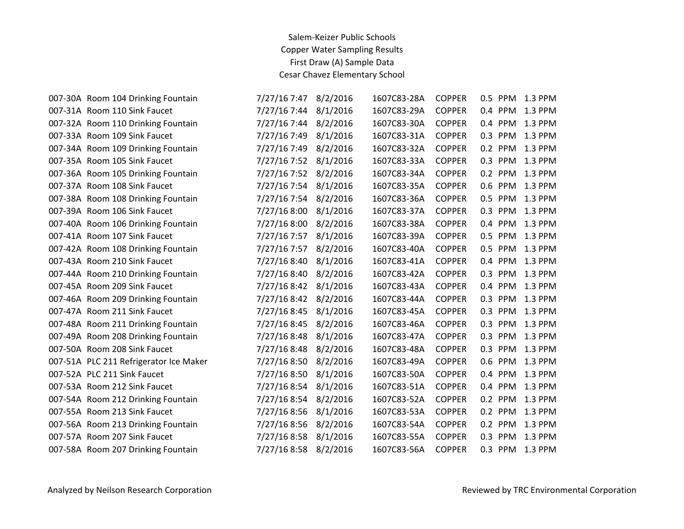| 007-30A Room 104 Drinking Fountain     | 7/27/16 7:47 | 8/2/2016 | 1607C83-28A | <b>COPPER</b> | 0.5 PPM | 1.3 PPM |
|----------------------------------------|--------------|----------|-------------|---------------|---------|---------|
| 007-31A Room 110 Sink Faucet           | 7/27/16 7:44 | 8/1/2016 | 1607C83-29A | <b>COPPER</b> | 0.4 PPM | 1.3 PPM |
| 007-32A Room 110 Drinking Fountain     | 7/27/16 7:44 | 8/2/2016 | 1607C83-30A | <b>COPPER</b> | 0.4 PPM | 1.3 PPM |
| 007-33A Room 109 Sink Faucet           | 7/27/16 7:49 | 8/1/2016 | 1607C83-31A | <b>COPPER</b> | 0.3 PPM | 1.3 PPM |
| 007-34A Room 109 Drinking Fountain     | 7/27/16 7:49 | 8/2/2016 | 1607C83-32A | <b>COPPER</b> | 0.2 PPM | 1.3 PPM |
| 007-35A Room 105 Sink Faucet           | 7/27/16 7:52 | 8/1/2016 | 1607C83-33A | <b>COPPER</b> | 0.3 PPM | 1.3 PPM |
| 007-36A Room 105 Drinking Fountain     | 7/27/16 7:52 | 8/2/2016 | 1607C83-34A | <b>COPPER</b> | 0.2 PPM | 1.3 PPM |
| 007-37A Room 108 Sink Faucet           | 7/27/16 7:54 | 8/1/2016 | 1607C83-35A | <b>COPPER</b> | 0.6 PPM | 1.3 PPM |
| 007-38A Room 108 Drinking Fountain     | 7/27/16 7:54 | 8/2/2016 | 1607C83-36A | <b>COPPER</b> | 0.5 PPM | 1.3 PPM |
| 007-39A Room 106 Sink Faucet           | 7/27/16 8:00 | 8/1/2016 | 1607C83-37A | <b>COPPER</b> | 0.3 PPM | 1.3 PPM |
| 007-40A Room 106 Drinking Fountain     | 7/27/16 8:00 | 8/2/2016 | 1607C83-38A | <b>COPPER</b> | 0.4 PPM | 1.3 PPM |
| 007-41A Room 107 Sink Faucet           | 7/27/16 7:57 | 8/1/2016 | 1607C83-39A | <b>COPPER</b> | 0.5 PPM | 1.3 PPM |
| 007-42A Room 108 Drinking Fountain     | 7/27/16 7:57 | 8/2/2016 | 1607C83-40A | <b>COPPER</b> | 0.5 PPM | 1.3 PPM |
| 007-43A Room 210 Sink Faucet           | 7/27/16 8:40 | 8/1/2016 | 1607C83-41A | <b>COPPER</b> | 0.4 PPM | 1.3 PPM |
| 007-44A Room 210 Drinking Fountain     | 7/27/16 8:40 | 8/2/2016 | 1607C83-42A | <b>COPPER</b> | 0.3 PPM | 1.3 PPM |
| 007-45A Room 209 Sink Faucet           | 7/27/16 8:42 | 8/1/2016 | 1607C83-43A | <b>COPPER</b> | 0.4 PPM | 1.3 PPM |
| 007-46A Room 209 Drinking Fountain     | 7/27/16 8:42 | 8/2/2016 | 1607C83-44A | <b>COPPER</b> | 0.3 PPM | 1.3 PPM |
| 007-47A Room 211 Sink Faucet           | 7/27/16 8:45 | 8/1/2016 | 1607C83-45A | <b>COPPER</b> | 0.3 PPM | 1.3 PPM |
| 007-48A Room 211 Drinking Fountain     | 7/27/16 8:45 | 8/2/2016 | 1607C83-46A | <b>COPPER</b> | 0.3 PPM | 1.3 PPM |
| 007-49A Room 208 Drinking Fountain     | 7/27/16 8:48 | 8/1/2016 | 1607C83-47A | <b>COPPER</b> | 0.3 PPM | 1.3 PPM |
| 007-50A Room 208 Sink Faucet           | 7/27/16 8:48 | 8/2/2016 | 1607C83-48A | <b>COPPER</b> | 0.3 PPM | 1.3 PPM |
| 007-51A PLC 211 Refrigerator Ice Maker | 7/27/16 8:50 | 8/2/2016 | 1607C83-49A | <b>COPPER</b> | 0.6 PPM | 1.3 PPM |
| 007-52A PLC 211 Sink Faucet            | 7/27/16 8:50 | 8/1/2016 | 1607C83-50A | <b>COPPER</b> | 0.4 PPM | 1.3 PPM |
| 007-53A Room 212 Sink Faucet           | 7/27/16 8:54 | 8/1/2016 | 1607C83-51A | <b>COPPER</b> | 0.4 PPM | 1.3 PPM |
| 007-54A Room 212 Drinking Fountain     | 7/27/16 8:54 | 8/2/2016 | 1607C83-52A | <b>COPPER</b> | 0.2 PPM | 1.3 PPM |
| 007-55A Room 213 Sink Faucet           | 7/27/16 8:56 | 8/1/2016 | 1607C83-53A | <b>COPPER</b> | 0.2 PPM | 1.3 PPM |
| 007-56A Room 213 Drinking Fountain     | 7/27/16 8:56 | 8/2/2016 | 1607C83-54A | <b>COPPER</b> | 0.2 PPM | 1.3 PPM |
| 007-57A Room 207 Sink Faucet           | 7/27/16 8:58 | 8/1/2016 | 1607C83-55A | <b>COPPER</b> | 0.3 PPM | 1.3 PPM |
| 007-58A Room 207 Drinking Fountain     | 7/27/16 8:58 | 8/2/2016 | 1607C83-56A | <b>COPPER</b> | 0.3 PPM | 1.3 PPM |
|                                        |              |          |             |               |         |         |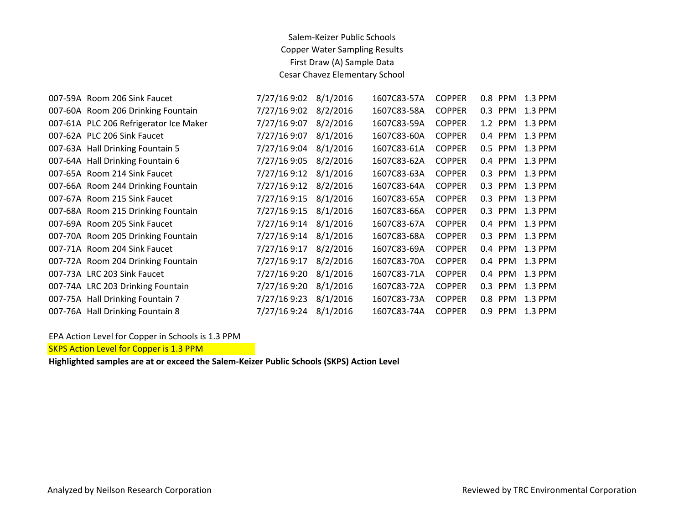| 007-59A Room 206 Sink Faucet           | 7/27/16 9:02 | 8/1/2016 | 1607C83-57A | <b>COPPER</b> |     |            | 1.3 PPM                                                                                                                                |
|----------------------------------------|--------------|----------|-------------|---------------|-----|------------|----------------------------------------------------------------------------------------------------------------------------------------|
| 007-60A Room 206 Drinking Fountain     | 7/27/16 9:02 | 8/2/2016 | 1607C83-58A | <b>COPPER</b> | 0.3 | <b>PPM</b> | 1.3 PPM                                                                                                                                |
| 007-61A PLC 206 Refrigerator Ice Maker | 7/27/16 9:07 | 8/2/2016 | 1607C83-59A | <b>COPPER</b> |     | <b>PPM</b> | 1.3 PPM                                                                                                                                |
| 007-62A PLC 206 Sink Faucet            | 7/27/16 9:07 | 8/1/2016 | 1607C83-60A | <b>COPPER</b> |     | <b>PPM</b> | 1.3 PPM                                                                                                                                |
| 007-63A Hall Drinking Fountain 5       | 7/27/16 9:04 | 8/1/2016 | 1607C83-61A | <b>COPPER</b> | 0.5 | <b>PPM</b> | 1.3 PPM                                                                                                                                |
| 007-64A Hall Drinking Fountain 6       | 7/27/16 9:05 | 8/2/2016 | 1607C83-62A | <b>COPPER</b> | 0.4 | <b>PPM</b> | 1.3 PPM                                                                                                                                |
| 007-65A Room 214 Sink Faucet           | 7/27/16 9:12 | 8/1/2016 | 1607C83-63A | <b>COPPER</b> |     | <b>PPM</b> | 1.3 PPM                                                                                                                                |
| 007-66A Room 244 Drinking Fountain     | 7/27/16 9:12 | 8/2/2016 | 1607C83-64A | <b>COPPER</b> |     |            | 1.3 PPM                                                                                                                                |
| 007-67A Room 215 Sink Faucet           | 7/27/16 9:15 | 8/1/2016 | 1607C83-65A | <b>COPPER</b> |     |            | 1.3 PPM                                                                                                                                |
| 007-68A Room 215 Drinking Fountain     | 7/27/16 9:15 | 8/1/2016 | 1607C83-66A | <b>COPPER</b> |     |            | 1.3 PPM                                                                                                                                |
| 007-69A Room 205 Sink Faucet           | 7/27/16 9:14 | 8/1/2016 | 1607C83-67A | <b>COPPER</b> |     |            | 1.3 PPM                                                                                                                                |
| 007-70A Room 205 Drinking Fountain     | 7/27/16 9:14 | 8/1/2016 | 1607C83-68A | <b>COPPER</b> | 0.3 |            | 1.3 PPM                                                                                                                                |
| 007-71A Room 204 Sink Faucet           | 7/27/16 9:17 | 8/2/2016 | 1607C83-69A | <b>COPPER</b> | 0.4 |            | 1.3 PPM                                                                                                                                |
| 007-72A Room 204 Drinking Fountain     | 7/27/16 9:17 | 8/2/2016 | 1607C83-70A | <b>COPPER</b> | 0.4 | <b>PPM</b> | 1.3 PPM                                                                                                                                |
| 007-73A LRC 203 Sink Faucet            | 7/27/16 9:20 | 8/1/2016 | 1607C83-71A | <b>COPPER</b> | 0.4 | <b>PPM</b> | 1.3 PPM                                                                                                                                |
| 007-74A LRC 203 Drinking Fountain      | 7/27/16 9:20 | 8/1/2016 | 1607C83-72A | <b>COPPER</b> | 0.3 | <b>PPM</b> | 1.3 PPM                                                                                                                                |
| 007-75A Hall Drinking Fountain 7       | 7/27/16 9:23 | 8/1/2016 | 1607C83-73A | <b>COPPER</b> | 0.8 | <b>PPM</b> | 1.3 PPM                                                                                                                                |
| 007-76A Hall Drinking Fountain 8       | 7/27/16 9:24 | 8/1/2016 | 1607C83-74A | <b>COPPER</b> | 0.9 | <b>PPM</b> | 1.3 PPM                                                                                                                                |
|                                        |              |          |             |               |     |            | <b>PPM</b><br>$0.8\,$<br>1.2<br>0.4<br>0.3<br><b>PPM</b><br>0.3<br><b>PPM</b><br>0.3<br>0.3 PPM<br>0.4 PPM<br><b>PPM</b><br><b>PPM</b> |

EPA Action Level for Copper in Schools is 1.3 PPM

SKPS Action Level for Copper is 1.3 PPM

**Highlighted samples are at or exceed the Salem-Keizer Public Schools (SKPS) Action Level**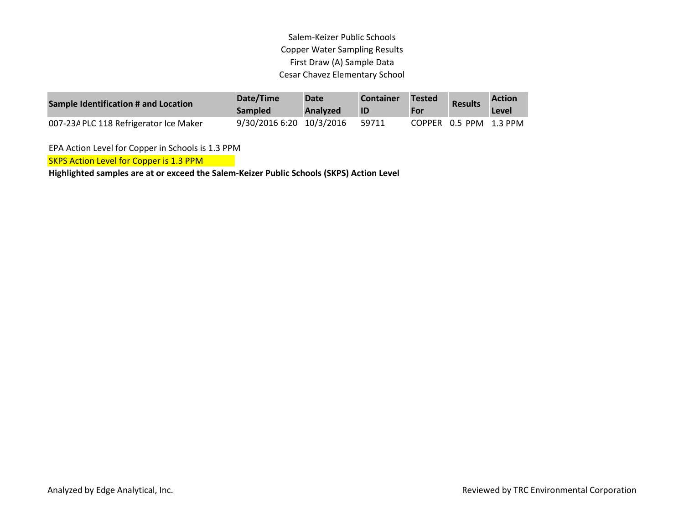| Sample Identification # and Location   | Date/Time<br><b>Sampled</b> | <b>Date</b><br>Analyzed | <b>Container</b><br>ID | <b>Tested</b><br>For | <b>Results</b>         | <b>Action</b><br>Level |
|----------------------------------------|-----------------------------|-------------------------|------------------------|----------------------|------------------------|------------------------|
| 007-23A PLC 118 Refrigerator Ice Maker | 9/30/2016 6:20 10/3/2016    |                         | 59711                  |                      | COPPER 0.5 PPM 1.3 PPM |                        |

EPA Action Level for Copper in Schools is 1.3 PPM

SKPS Action Level for Copper is 1.3 PPM

**Highlighted samples are at or exceed the Salem-Keizer Public Schools (SKPS) Action Level**